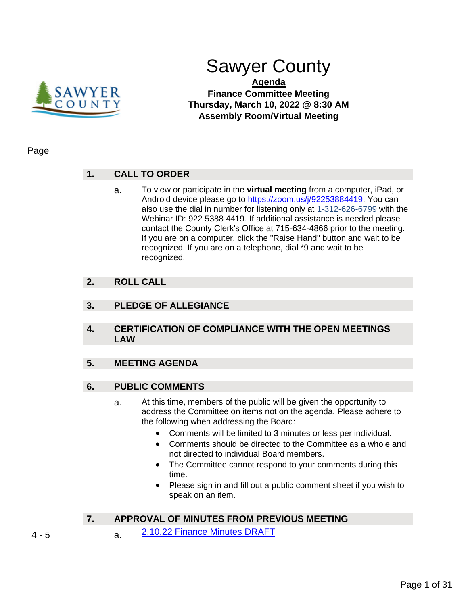

# Sawyer County

# **Agenda Finance Committee Meeting Thursday, March 10, 2022 @ 8:30 AM Assembly Room/Virtual Meeting**

### Page

# **1. CALL TO ORDER**

a. To view or participate in the **virtual meeting** from a computer, iPad, or Android device please go to https://zoom.us/j/92253884419. You can also use the dial in number for listening only at 1-312-626-6799 with the Webinar ID: 922 5388 4419. If additional assistance is needed please contact the County Clerk's Office at 715-634-4866 prior to the meeting. If you are on a computer, click the "Raise Hand" button and wait to be recognized. If you are on a telephone, dial \*9 and wait to be recognized.

# **2. ROLL CALL**

- **3. PLEDGE OF ALLEGIANCE**
- **4. CERTIFICATION OF COMPLIANCE WITH THE OPEN MEETINGS LAW**

# **5. MEETING AGENDA**

# **6. PUBLIC COMMENTS**

- a. At this time, members of the public will be given the opportunity to address the Committee on items not on the agenda. Please adhere to the following when addressing the Board:
	- Comments will be limited to 3 minutes or less per individual.
	- Comments should be directed to the Committee as a whole and not directed to individual Board members.
	- The Committee cannot respond to your comments during this time.
	- Please sign in and fill out a public comment sheet if you wish to speak on an item.

# **7. APPROVAL OF MINUTES FROM PREVIOUS MEETING**

- 4 5 a. [2.10.22 Finance Minutes DRAFT](#page-3-0)
-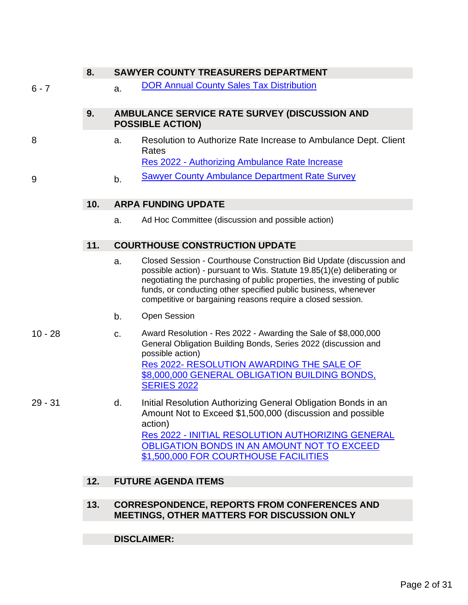# **8. SAWYER COUNTY TREASURERS DEPARTMENT**

6 - 7 **a.** [DOR Annual County Sales Tax Distribution](#page-5-0)

# **9. AMBULANCE SERVICE RATE SURVEY (DISCUSSION AND POSSIBLE ACTION)**

- 8 a. Resolution to Authorize Rate Increase to Ambulance Dept. Client Rates Res 2022 - [Authorizing Ambulance Rate Increase](#page-7-0)
- 9 b. [Sawyer County Ambulance Department Rate Survey](#page-8-0)

# **10. ARPA FUNDING UPDATE**

a. Ad Hoc Committee (discussion and possible action)

# **11. COURTHOUSE CONSTRUCTION UPDATE**

- a. Closed Session Courthouse Construction Bid Update (discussion and possible action) - pursuant to Wis. Statute 19.85(1)(e) deliberating or negotiating the purchasing of public properties, the investing of public funds, or conducting other specified public business, whenever competitive or bargaining reasons require a closed session.
- b. Open Session
- 10 28 c. Award Resolution Res 2022 Awarding the Sale of \$8,000,000 General Obligation Building Bonds, Series 2022 (discussion and possible action) Res 2022- [RESOLUTION AWARDING THE SALE OF](#page-9-0)  [\\$8,000,000 GENERAL OBLIGATION BUILDING BONDS,](#page-9-0)  [SERIES 2022](#page-9-0)

29 - 31 d. Initial Resolution Authorizing General Obligation Bonds in an Amount Not to Exceed \$1,500,000 (discussion and possible action) Res 2022 - [INITIAL RESOLUTION AUTHORIZING GENERAL](#page-28-0)  [OBLIGATION BONDS IN AN AMOUNT NOT TO EXCEED](#page-28-0)  [\\$1,500,000 FOR COURTHOUSE FACILITIES](#page-28-0)

# **12. FUTURE AGENDA ITEMS**

### **13. CORRESPONDENCE, REPORTS FROM CONFERENCES AND MEETINGS, OTHER MATTERS FOR DISCUSSION ONLY**

# **DISCLAIMER:**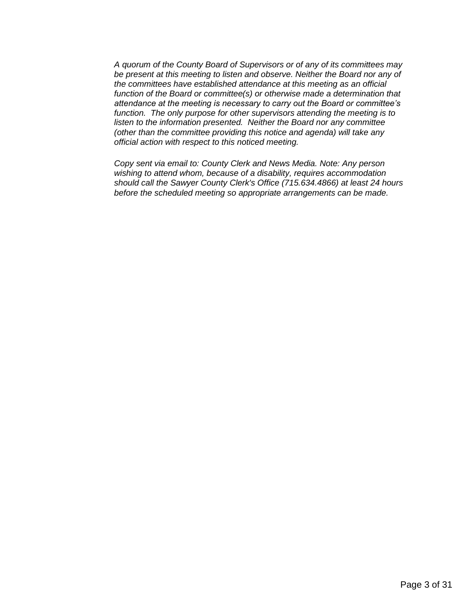*A quorum of the County Board of Supervisors or of any of its committees may be present at this meeting to listen and observe. Neither the Board nor any of the committees have established attendance at this meeting as an official function of the Board or committee(s) or otherwise made a determination that attendance at the meeting is necessary to carry out the Board or committee's function. The only purpose for other supervisors attending the meeting is to listen to the information presented. Neither the Board nor any committee (other than the committee providing this notice and agenda) will take any official action with respect to this noticed meeting.*

*Copy sent via email to: County Clerk and News Media. Note: Any person wishing to attend whom, because of a disability, requires accommodation should call the Sawyer County Clerk's Office (715.634.4866) at least 24 hours before the scheduled meeting so appropriate arrangements can be made.*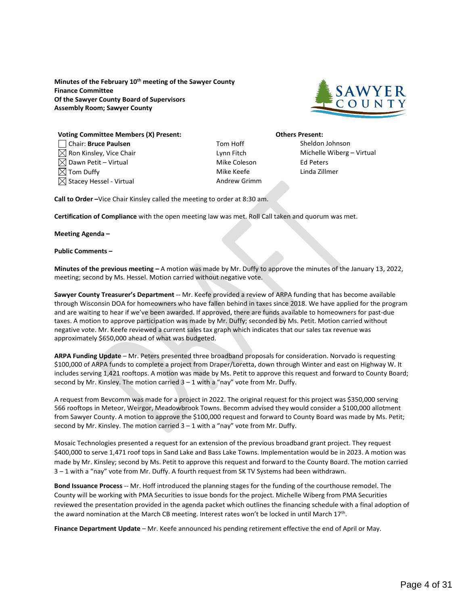<span id="page-3-0"></span>**Minutes of the February 10th meeting of the Sawyer County Finance Committee Of the Sawyer County Board of Supervisors Assembly Room; Sawyer County**



#### **Voting Committee Members (X) Present: Others Present:** Chair: **Bruce Paulsen** Tom Hoff Sheldon Johnson  $\boxtimes$  Ron Kinsley, Vice Chair **Lynn Fitch** Lynn Fitch Michelle Wiberg – Virtual  $\boxtimes$  Dawn Petit – Virtual  $\blacksquare$  $\boxtimes$  Tom Duffy  $\blacksquare$  Tom Duffy  $\blacksquare$  $\boxtimes$  Stacey Hessel - Virtual Andrew Grimm

**Call to Order –**Vice Chair Kinsley called the meeting to order at 8:30 am.

**Certification of Compliance** with the open meeting law was met. Roll Call taken and quorum was met.

**Meeting Agenda –**

#### **Public Comments –**

**Minutes of the previous meeting –** A motion was made by Mr. Duffy to approve the minutes of the January 13, 2022, meeting; second by Ms. Hessel. Motion carried without negative vote.

**Sawyer County Treasurer's Department** -- Mr. Keefe provided a review of ARPA funding that has become available through Wisconsin DOA for homeowners who have fallen behind in taxes since 2018. We have applied for the program and are waiting to hear if we've been awarded. If approved, there are funds available to homeowners for past-due taxes. A motion to approve participation was made by Mr. Duffy; seconded by Ms. Petit. Motion carried without negative vote. Mr. Keefe reviewed a current sales tax graph which indicates that our sales tax revenue was approximately \$650,000 ahead of what was budgeted.

**ARPA Funding Update** – Mr. Peters presented three broadband proposals for consideration. Norvado is requesting \$100,000 of ARPA funds to complete a project from Draper/Loretta, down through Winter and east on Highway W. It includes serving 1,421 rooftops. A motion was made by Ms. Petit to approve this request and forward to County Board; second by Mr. Kinsley. The motion carried  $3 - 1$  with a "nay" vote from Mr. Duffy.

A request from Bevcomm was made for a project in 2022. The original request for this project was \$350,000 serving 566 rooftops in Meteor, Weirgor, Meadowbrook Towns. Becomm advised they would consider a \$100,000 allotment from Sawyer County. A motion to approve the \$100,000 request and forward to County Board was made by Ms. Petit; second by Mr. Kinsley. The motion carried 3 – 1 with a "nay" vote from Mr. Duffy.

Mosaic Technologies presented a request for an extension of the previous broadband grant project. They request \$400,000 to serve 1,471 roof tops in Sand Lake and Bass Lake Towns. Implementation would be in 2023. A motion was made by Mr. Kinsley; second by Ms. Petit to approve this request and forward to the County Board. The motion carried 3 – 1 with a "nay" vote from Mr. Duffy. A fourth request from SK TV Systems had been withdrawn.

**Bond Issuance Process** -- Mr. Hoff introduced the planning stages for the funding of the courthouse remodel. The County will be working with PMA Securities to issue bonds for the project. Michelle Wiberg from PMA Securities reviewed the presentation provided in the agenda packet which outlines the financing schedule with a final adoption of the award nomination at the March CB meeting. Interest rates won't be locked in until March 17<sup>th</sup>.

**Finance Department Update** – Mr. Keefe announced his pending retirement effective the end of April or May.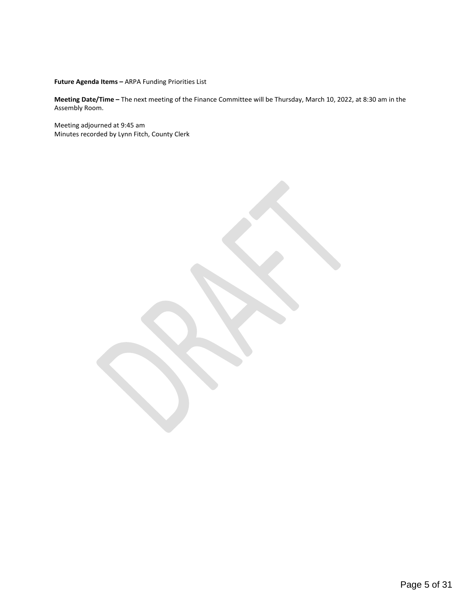**Future Agenda Items –** ARPA Funding Priorities List

**Meeting Date/Time –** The next meeting of the Finance Committee will be Thursday, March 10, 2022, at 8:30 am in the Assembly Room.

Meeting adjourned at 9:45 am Minutes recorded by Lynn Fitch, County Clerk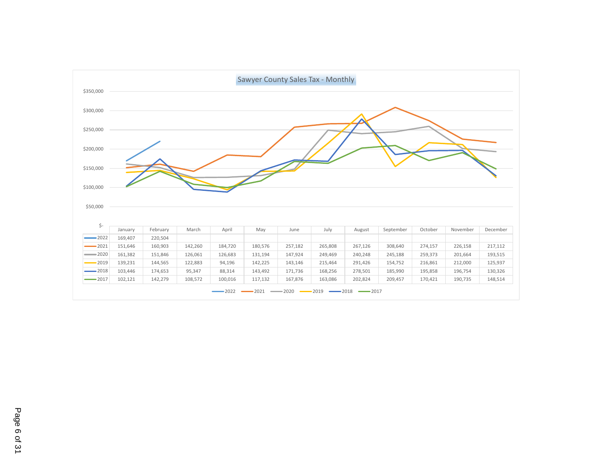<span id="page-5-0"></span>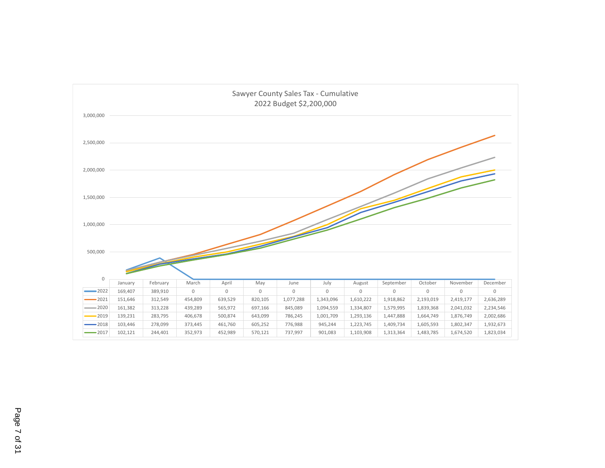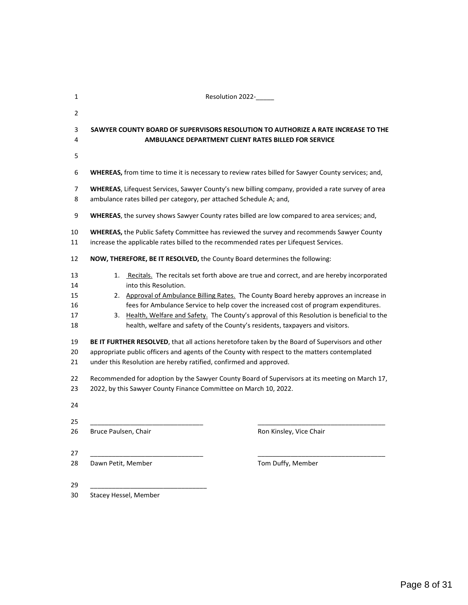<span id="page-7-0"></span>

| 1                                                                    | Resolution 2022-                                                                                                                                                                                                                                                                                                                                                                                                                                                                                                                                                                                                                                                                                                                                                                                                                                                                                                                            |  |  |  |  |
|----------------------------------------------------------------------|---------------------------------------------------------------------------------------------------------------------------------------------------------------------------------------------------------------------------------------------------------------------------------------------------------------------------------------------------------------------------------------------------------------------------------------------------------------------------------------------------------------------------------------------------------------------------------------------------------------------------------------------------------------------------------------------------------------------------------------------------------------------------------------------------------------------------------------------------------------------------------------------------------------------------------------------|--|--|--|--|
| 2                                                                    |                                                                                                                                                                                                                                                                                                                                                                                                                                                                                                                                                                                                                                                                                                                                                                                                                                                                                                                                             |  |  |  |  |
| 3<br>4                                                               | SAWYER COUNTY BOARD OF SUPERVISORS RESOLUTION TO AUTHORIZE A RATE INCREASE TO THE<br>AMBULANCE DEPARTMENT CLIENT RATES BILLED FOR SERVICE                                                                                                                                                                                                                                                                                                                                                                                                                                                                                                                                                                                                                                                                                                                                                                                                   |  |  |  |  |
| 5                                                                    |                                                                                                                                                                                                                                                                                                                                                                                                                                                                                                                                                                                                                                                                                                                                                                                                                                                                                                                                             |  |  |  |  |
| 6                                                                    | WHEREAS, from time to time it is necessary to review rates billed for Sawyer County services; and,                                                                                                                                                                                                                                                                                                                                                                                                                                                                                                                                                                                                                                                                                                                                                                                                                                          |  |  |  |  |
| $\overline{7}$<br>8                                                  | WHEREAS, Lifequest Services, Sawyer County's new billing company, provided a rate survey of area<br>ambulance rates billed per category, per attached Schedule A; and,                                                                                                                                                                                                                                                                                                                                                                                                                                                                                                                                                                                                                                                                                                                                                                      |  |  |  |  |
| 9                                                                    | WHEREAS, the survey shows Sawyer County rates billed are low compared to area services; and,                                                                                                                                                                                                                                                                                                                                                                                                                                                                                                                                                                                                                                                                                                                                                                                                                                                |  |  |  |  |
| 10<br>11                                                             | WHEREAS, the Public Safety Committee has reviewed the survey and recommends Sawyer County<br>increase the applicable rates billed to the recommended rates per Lifequest Services.                                                                                                                                                                                                                                                                                                                                                                                                                                                                                                                                                                                                                                                                                                                                                          |  |  |  |  |
| 12                                                                   | NOW, THEREFORE, BE IT RESOLVED, the County Board determines the following:                                                                                                                                                                                                                                                                                                                                                                                                                                                                                                                                                                                                                                                                                                                                                                                                                                                                  |  |  |  |  |
| 13<br>14<br>15<br>16<br>17<br>18<br>19<br>20<br>21<br>22<br>23<br>24 | Recitals. The recitals set forth above are true and correct, and are hereby incorporated<br>1.<br>into this Resolution.<br>2. Approval of Ambulance Billing Rates. The County Board hereby approves an increase in<br>fees for Ambulance Service to help cover the increased cost of program expenditures.<br>3. Health, Welfare and Safety. The County's approval of this Resolution is beneficial to the<br>health, welfare and safety of the County's residents, taxpayers and visitors.<br>BE IT FURTHER RESOLVED, that all actions heretofore taken by the Board of Supervisors and other<br>appropriate public officers and agents of the County with respect to the matters contemplated<br>under this Resolution are hereby ratified, confirmed and approved.<br>Recommended for adoption by the Sawyer County Board of Supervisors at its meeting on March 17,<br>2022, by this Sawyer County Finance Committee on March 10, 2022. |  |  |  |  |
| 25<br>26                                                             | Bruce Paulsen, Chair<br>Ron Kinsley, Vice Chair                                                                                                                                                                                                                                                                                                                                                                                                                                                                                                                                                                                                                                                                                                                                                                                                                                                                                             |  |  |  |  |
| 27<br>28                                                             | Tom Duffy, Member<br>Dawn Petit, Member                                                                                                                                                                                                                                                                                                                                                                                                                                                                                                                                                                                                                                                                                                                                                                                                                                                                                                     |  |  |  |  |
| 29<br>30                                                             | Stacey Hessel, Member                                                                                                                                                                                                                                                                                                                                                                                                                                                                                                                                                                                                                                                                                                                                                                                                                                                                                                                       |  |  |  |  |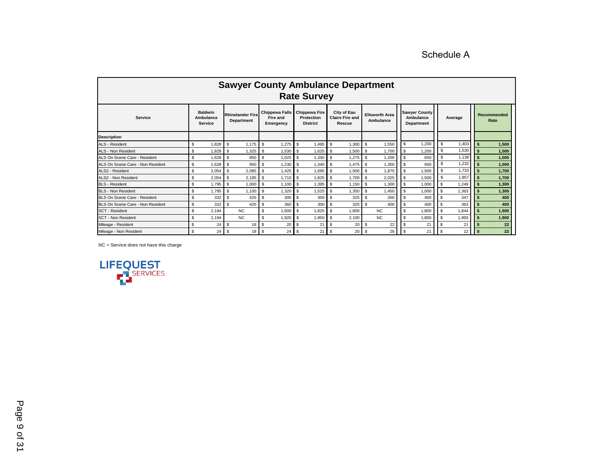Schedule A

<span id="page-8-0"></span>

| <b>Sawyer County Ambulance Department</b><br><b>Rate Survey</b> |                                               |                                       |                                                |                                                       |                                                 |                                    |                                                        |              |                     |
|-----------------------------------------------------------------|-----------------------------------------------|---------------------------------------|------------------------------------------------|-------------------------------------------------------|-------------------------------------------------|------------------------------------|--------------------------------------------------------|--------------|---------------------|
| Service                                                         | <b>Baldwin</b><br>Ambulance<br><b>Service</b> | <b>Rhinelander Fire</b><br>Department | <b>Chippewa Falls</b><br>Fire and<br>Emergency | <b>Chippewa Fire</b><br>Protection<br><b>District</b> | City of Eau<br><b>Claire Fire and</b><br>Rescue | <b>Ellsworth Area</b><br>Ambulance | <b>Sawyer County</b><br>Ambulance<br><b>Department</b> | Average      | Recommended<br>Rate |
| <b>Description</b>                                              |                                               |                                       |                                                |                                                       |                                                 |                                    |                                                        |              |                     |
| <b>ALS - Resident</b>                                           | 1,828<br>\$                                   | \$<br>1,175                           | Ŝ.<br>1,275                                    | \$.<br>1,495                                          | <b>\$</b><br>1,300                              | \$<br>1,550                        | 1,200<br>\$                                            | \$<br>1,403  | 1,500               |
| ALS - Non Resident                                              | 1,828<br>\$                                   | <b>S</b><br>1,325                     | 1,530<br>-S                                    | 1,625<br>\$.                                          | 1,500<br>-\$                                    | 1,700<br>\$                        | 1.200                                                  | \$.<br>1,530 | 1.500               |
| ALS On Scene Care - Resident                                    | $\mathfrak{S}$<br>1.628                       | \$<br>850                             | Ŝ.<br>1,025                                    | 1,340<br><b>S</b>                                     | <b>S</b><br>1,275                               | \$<br>1,200                        | 650                                                    | \$<br>1,138  | 1,000               |
| ALS On Scene Care - Non Resident                                | 1.628<br>\$                                   | \$<br>950                             | Ŝ.<br>1.230                                    | <b>S</b><br>1.340                                     | <b>S</b><br>1,475                               | $\mathfrak{L}$<br>1,350            | 650                                                    | 1,232<br>\$  | 1.000               |
| ALS2 - Resident                                                 | \$<br>2,054                                   | $\mathfrak s$<br>2,085                | $\sqrt{3}$<br>1.425 $\sqrt{S}$                 | 1.695                                                 | . <b>S</b><br>1,500                             | $\mathfrak{L}$<br>1,875            | $\mathfrak{L}$<br>1,500                                | 1,733<br>\$. | 1.700               |
| ALS2 - Non Resident                                             | \$<br>2,054                                   | \$<br>2,185                           | $\mathbf{s}$<br>$1.710$ S                      | 1.825                                                 | <b>S</b><br>1,700                               | \$<br>2,025                        | 1,500                                                  | \$.<br>1,857 | 1.700               |
| <b>BLS - Resident</b>                                           | \$<br>1.795                                   | \$<br>1.000                           | Ŝ.<br>1.100                                    | 1,395<br>$\mathbf{s}$                                 | <sup>\$</sup><br>1.150                          | \$<br>1,300                        | $\mathfrak{L}$<br>1,000                                | 1.249        | 1,300               |
| <b>BLS - Non Resident</b>                                       | \$<br>1,795                                   | \$<br>1,100                           | - \$<br>1,320                                  | 1,525<br>- \$                                         | <b>S</b><br>1,350                               | \$<br>1,450                        | 1,000                                                  | 1,363        | 1,300               |
| BLS On Scene Care - Resident                                    | $\mathfrak{S}$<br>332                         | <b>S</b><br>425                       | <b>S</b><br>300                                | 300<br>- \$                                           | 325<br><b>S</b>                                 | 350<br>\$                          | 400                                                    | 347          | 400                 |
| BLS On Scene Care - Non Resident                                | \$<br>332                                     | 425<br>-\$                            | \$<br>360                                      | 300<br>- \$                                           | <b>S</b><br>325                                 | $\mathfrak{L}$<br>400              | 400<br><b>S</b>                                        | 363          | 400                 |
| <b>SCT - Resident</b>                                           | $\mathfrak{S}$<br>2.194                       | N <sub>C</sub>                        | \$.<br>1.600                                   | -\$<br>1.825                                          | <b>S</b><br>1.800                               | <b>NC</b>                          | \$<br>1,800                                            | 1.844        | 1.900               |
| <b>SCT - Non Resident</b>                                       | \$<br>2.194                                   | NC.                                   | \$<br>1.920                                    | - \$<br>1,950                                         | -\$<br>2.100                                    | <b>NC</b>                          | \$<br>1,800                                            | 1,993        | 1,900               |
| Mileage - Resident                                              | \$<br>24                                      | -\$<br>18                             | <sup>\$</sup><br>20                            | 21<br>- \$                                            | \$<br>20                                        | 22<br>\$                           | 21                                                     | 21           | 22                  |
| Mileage - Non Resident                                          | \$<br>24                                      | <b>S</b><br>18                        | <sup>\$</sup><br>24                            | 21<br>-\$                                             | <sup>\$</sup><br>20                             | 26<br>\$                           | 21<br>$\mathbf{s}$                                     | 22           | 22                  |

NC = Service does not have this charge

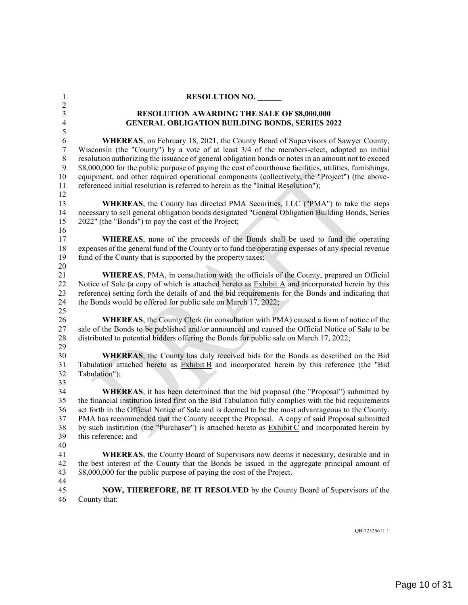<span id="page-9-0"></span>

| $\mathbf{1}$<br>$\overline{c}$                                        | <b>RESOLUTION NO.</b>                                                                                                                                                                                                                                                                                                                                                                                                                                                                                                                                                                            |
|-----------------------------------------------------------------------|--------------------------------------------------------------------------------------------------------------------------------------------------------------------------------------------------------------------------------------------------------------------------------------------------------------------------------------------------------------------------------------------------------------------------------------------------------------------------------------------------------------------------------------------------------------------------------------------------|
| $\mathfrak{Z}$<br>$\overline{\mathbf{4}}$<br>5                        | <b>RESOLUTION AWARDING THE SALE OF \$8,000,000</b><br><b>GENERAL OBLIGATION BUILDING BONDS, SERIES 2022</b>                                                                                                                                                                                                                                                                                                                                                                                                                                                                                      |
| $\sqrt{6}$<br>$\boldsymbol{7}$<br>$\,8\,$<br>$\mathbf{9}$<br>10<br>11 | <b>WHEREAS</b> , on February 18, 2021, the County Board of Supervisors of Sawyer County,<br>Wisconsin (the "County") by a vote of at least 3/4 of the members-elect, adopted an initial<br>resolution authorizing the issuance of general obligation bonds or notes in an amount not to exceed<br>\$8,000,000 for the public purpose of paying the cost of courthouse facilities, utilities, furnishings,<br>equipment, and other required operational components (collectively, the "Project") (the above-<br>referenced initial resolution is referred to herein as the "Initial Resolution"); |
| 12<br>13<br>14<br>15<br>16                                            | WHEREAS, the County has directed PMA Securities, LLC ("PMA") to take the steps<br>necessary to sell general obligation bonds designated "General Obligation Building Bonds, Series<br>2022" (the "Bonds") to pay the cost of the Project;                                                                                                                                                                                                                                                                                                                                                        |
| 17<br>18<br>19<br>20                                                  | WHEREAS, none of the proceeds of the Bonds shall be used to fund the operating<br>expenses of the general fund of the County or to fund the operating expenses of any special revenue<br>fund of the County that is supported by the property taxes;                                                                                                                                                                                                                                                                                                                                             |
| 21<br>22<br>23<br>24<br>25                                            | <b>WHEREAS</b> , PMA, in consultation with the officials of the County, prepared an Official<br>Notice of Sale (a copy of which is attached hereto as Exhibit A and incorporated herein by this<br>reference) setting forth the details of and the bid requirements for the Bonds and indicating that<br>the Bonds would be offered for public sale on March 17, 2022;                                                                                                                                                                                                                           |
| 26<br>27<br>28<br>29                                                  | <b>WHEREAS</b> , the County Clerk (in consultation with PMA) caused a form of notice of the<br>sale of the Bonds to be published and/or announced and caused the Official Notice of Sale to be<br>distributed to potential bidders offering the Bonds for public sale on March 17, 2022;                                                                                                                                                                                                                                                                                                         |
| 30<br>31<br>32<br>33                                                  | WHEREAS, the County has duly received bids for the Bonds as described on the Bid<br>Tabulation attached hereto as <b>Exhibit B</b> and incorporated herein by this reference (the "Bid<br>Tabulation");                                                                                                                                                                                                                                                                                                                                                                                          |
| 34<br>35<br>36<br>37<br>38<br>39<br>40                                | <b>WHEREAS</b> , it has been determined that the bid proposal (the "Proposal") submitted by<br>the financial institution listed first on the Bid Tabulation fully complies with the bid requirements<br>set forth in the Official Notice of Sale and is deemed to be the most advantageous to the County.<br>PMA has recommended that the County accept the Proposal. A copy of said Proposal submitted<br>by such institution (the "Purchaser") is attached hereto as $\overline{\text{Exhibit C}}$ and incorporated herein by<br>this reference; and                                           |
| 41<br>42<br>43                                                        | WHEREAS, the County Board of Supervisors now deems it necessary, desirable and in<br>the best interest of the County that the Bonds be issued in the aggregate principal amount of<br>\$8,000,000 for the public purpose of paying the cost of the Project.                                                                                                                                                                                                                                                                                                                                      |
| 44<br>45<br>46                                                        | <b>NOW, THEREFORE, BE IT RESOLVED</b> by the County Board of Supervisors of the<br>County that:                                                                                                                                                                                                                                                                                                                                                                                                                                                                                                  |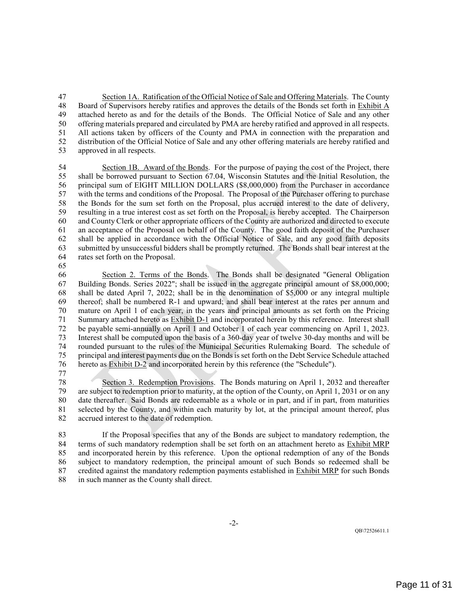Section 1A. Ratification of the Official Notice of Sale and Offering Materials. The County Board of Supervisors hereby ratifies and approves the details of the Bonds set forth in Exhibit A attached hereto as and for the details of the Bonds. The Official Notice of Sale and any other offering materials prepared and circulated by PMA are hereby ratified and approved in all respects. All actions taken by officers of the County and PMA in connection with the preparation and distribution of the Official Notice of Sale and any other offering materials are hereby ratified and approved in all respects.

 Section 1B. Award of the Bonds. For the purpose of paying the cost of the Project, there shall be borrowed pursuant to Section 67.04, Wisconsin Statutes and the Initial Resolution, the principal sum of EIGHT MILLION DOLLARS (\$8,000,000) from the Purchaser in accordance with the terms and conditions of the Proposal. The Proposal of the Purchaser offering to purchase the Bonds for the sum set forth on the Proposal, plus accrued interest to the date of delivery, resulting in a true interest cost as set forth on the Proposal, is hereby accepted. The Chairperson and County Clerk or other appropriate officers of the County are authorized and directed to execute an acceptance of the Proposal on behalf of the County. The good faith deposit of the Purchaser shall be applied in accordance with the Official Notice of Sale, and any good faith deposits submitted by unsuccessful bidders shall be promptly returned. The Bonds shall bear interest at the rates set forth on the Proposal.

 Section 2. Terms of the Bonds. The Bonds shall be designated "General Obligation Building Bonds. Series 2022"; shall be issued in the aggregate principal amount of \$8,000,000; shall be dated April 7, 2022; shall be in the denomination of \$5,000 or any integral multiple thereof; shall be numbered R-1 and upward; and shall bear interest at the rates per annum and mature on April 1 of each year, in the years and principal amounts as set forth on the Pricing Summary attached hereto as Exhibit D-1 and incorporated herein by this reference. Interest shall be payable semi-annually on April 1 and October 1 of each year commencing on April 1, 2023. Interest shall be computed upon the basis of a 360-day year of twelve 30-day months and will be rounded pursuant to the rules of the Municipal Securities Rulemaking Board. The schedule of principal and interest payments due on the Bonds is set forth on the Debt Service Schedule attached hereto as Exhibit D-2 and incorporated herein by this reference (the "Schedule").

Section 3. Redemption Provisions. The Bonds maturing on April 1, 2032 and thereafter are subject to redemption prior to maturity, at the option of the County, on April 1, 2031 or on any date thereafter. Said Bonds are redeemable as a whole or in part, and if in part, from maturities selected by the County, and within each maturity by lot, at the principal amount thereof, plus accrued interest to the date of redemption.

 If the Proposal specifies that any of the Bonds are subject to mandatory redemption, the 84 terms of such mandatory redemption shall be set forth on an attachment hereto as Exhibit MRP<br>85 and incorporated herein by this reference. Upon the optional redemption of any of the Bonds and incorporated herein by this reference. Upon the optional redemption of any of the Bonds subject to mandatory redemption, the principal amount of such Bonds so redeemed shall be 87 credited against the mandatory redemption payments established in Exhibit MRP for such Bonds in such manner as the County shall direct.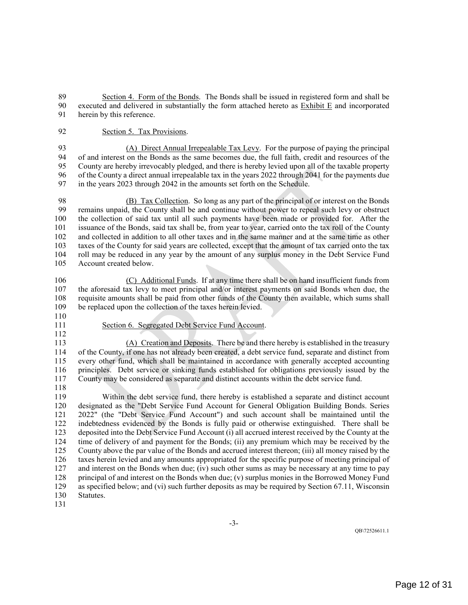Section 4. Form of the Bonds. The Bonds shall be issued in registered form and shall be executed and delivered in substantially the form attached hereto as Exhibit E and incorporated herein by this reference.

Section 5. Tax Provisions.

93 (A) Direct Annual Irrepealable Tax Levy. For the purpose of paying the principal of and interest on the Bonds as the same becomes due, the full faith, credit and resources of the 94 of and interest on the Bonds as the same becomes due, the full faith, credit and resources of the<br>95 County are hereby irrevocably pledged, and there is hereby levied upon all of the taxable property County are hereby irrevocably pledged, and there is hereby levied upon all of the taxable property of the County a direct annual irrepealable tax in the years 2022 through 2041 for the payments due in the years 2023 through 2042 in the amounts set forth on the Schedule.

98 (B) Tax Collection. So long as any part of the principal of or interest on the Bonds<br>99 remains unpaid, the County shall be and continue without power to repeal such levy or obstruct remains unpaid, the County shall be and continue without power to repeal such levy or obstruct the collection of said tax until all such payments have been made or provided for. After the issuance of the Bonds, said tax shall be, from year to year, carried onto the tax roll of the County and collected in addition to all other taxes and in the same manner and at the same time as other taxes of the County for said years are collected, except that the amount of tax carried onto the tax 104 roll may be reduced in any year by the amount of any surplus money in the Debt Service Fund<br>105 Account created below. Account created below.

 (C) Additional Funds. If at any time there shall be on hand insufficient funds from the aforesaid tax levy to meet principal and/or interest payments on said Bonds when due, the requisite amounts shall be paid from other funds of the County then available, which sums shall be replaced upon the collection of the taxes herein levied.

- 
- 
- 
- Section 6. Segregated Debt Service Fund Account.

 (A) Creation and Deposits. There be and there hereby is established in the treasury of the County, if one has not already been created, a debt service fund, separate and distinct from every other fund, which shall be maintained in accordance with generally accepted accounting principles. Debt service or sinking funds established for obligations previously issued by the County may be considered as separate and distinct accounts within the debt service fund.

 Within the debt service fund, there hereby is established a separate and distinct account designated as the "Debt Service Fund Account for General Obligation Building Bonds. Series 2022" (the "Debt Service Fund Account") and such account shall be maintained until the indebtedness evidenced by the Bonds is fully paid or otherwise extinguished. There shall be deposited into the Debt Service Fund Account (i) all accrued interest received by the County at the time of delivery of and payment for the Bonds; (ii) any premium which may be received by the County above the par value of the Bonds and accrued interest thereon; (iii) all money raised by the taxes herein levied and any amounts appropriated for the specific purpose of meeting principal of and interest on the Bonds when due; (iv) such other sums as may be necessary at any time to pay principal of and interest on the Bonds when due; (v) surplus monies in the Borrowed Money Fund as specified below; and (vi) such further deposits as may be required by Section 67.11, Wisconsin Statutes.

-3-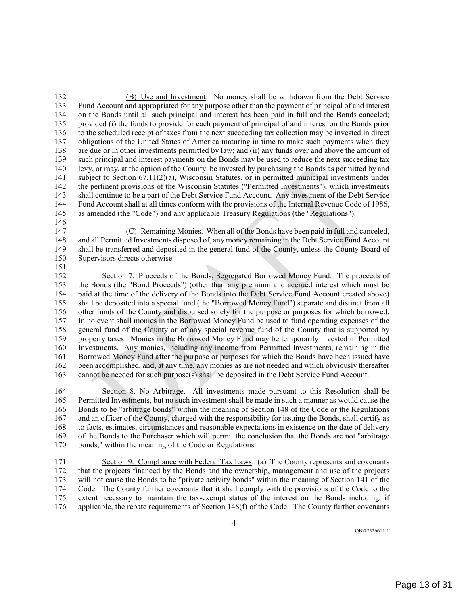(B) Use and Investment. No money shall be withdrawn from the Debt Service Fund Account and appropriated for any purpose other than the payment of principal of and interest on the Bonds until all such principal and interest has been paid in full and the Bonds canceled; provided (i) the funds to provide for each payment of principal of and interest on the Bonds prior to the scheduled receipt of taxes from the next succeeding tax collection may be invested in direct obligations of the United States of America maturing in time to make such payments when they are due or in other investments permitted by law; and (ii) any funds over and above the amount of such principal and interest payments on the Bonds may be used to reduce the next succeeding tax levy, or may, at the option of the County, be invested by purchasing the Bonds as permitted by and 141 subject to Section 67.11(2)(a), Wisconsin Statutes, or in permitted municipal investments under the pertinent provisions of the Wisconsin Statutes ("Permitted Investments"), which investments shall continue to be a part of the Debt Service Fund Account. Any investment of the Debt Service Fund Account shall at all times conform with the provisions of the Internal Revenue Code of 1986, as amended (the "Code") and any applicable Treasury Regulations (the "Regulations").

 (C) Remaining Monies. When all of the Bonds have been paid in full and canceled, and all Permitted Investments disposed of, any money remaining in the Debt Service Fund Account shall be transferred and deposited in the general fund of the County, unless the County Board of Supervisors directs otherwise.

 Section 7. Proceeds of the Bonds; Segregated Borrowed Money Fund. The proceeds of the Bonds (the "Bond Proceeds") (other than any premium and accrued interest which must be paid at the time of the delivery of the Bonds into the Debt Service Fund Account created above) shall be deposited into a special fund (the "Borrowed Money Fund") separate and distinct from all other funds of the County and disbursed solely for the purpose or purposes for which borrowed. In no event shall monies in the Borrowed Money Fund be used to fund operating expenses of the general fund of the County or of any special revenue fund of the County that is supported by property taxes. Monies in the Borrowed Money Fund may be temporarily invested in Permitted Investments. Any monies, including any income from Permitted Investments, remaining in the Borrowed Money Fund after the purpose or purposes for which the Bonds have been issued have been accomplished, and, at any time, any monies as are not needed and which obviously thereafter cannot be needed for such purpose(s) shall be deposited in the Debt Service Fund Account.

 Section 8. No Arbitrage. All investments made pursuant to this Resolution shall be Permitted Investments, but no such investment shall be made in such a manner as would cause the Bonds to be "arbitrage bonds" within the meaning of Section 148 of the Code or the Regulations and an officer of the County, charged with the responsibility for issuing the Bonds, shall certify as to facts, estimates, circumstances and reasonable expectations in existence on the date of delivery of the Bonds to the Purchaser which will permit the conclusion that the Bonds are not "arbitrage bonds," within the meaning of the Code or Regulations.

 Section 9. Compliance with Federal Tax Laws. (a) The County represents and covenants that the projects financed by the Bonds and the ownership, management and use of the projects will not cause the Bonds to be "private activity bonds" within the meaning of Section 141 of the Code. The County further covenants that it shall comply with the provisions of the Code to the extent necessary to maintain the tax-exempt status of the interest on the Bonds including, if applicable, the rebate requirements of Section 148(f) of the Code. The County further covenants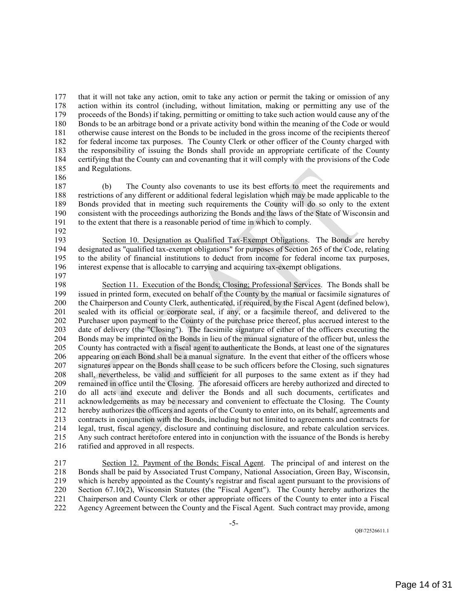that it will not take any action, omit to take any action or permit the taking or omission of any action within its control (including, without limitation, making or permitting any use of the proceeds of the Bonds) if taking, permitting or omitting to take such action would cause any of the Bonds to be an arbitrage bond or a private activity bond within the meaning of the Code or would otherwise cause interest on the Bonds to be included in the gross income of the recipients thereof for federal income tax purposes. The County Clerk or other officer of the County charged with the responsibility of issuing the Bonds shall provide an appropriate certificate of the County certifying that the County can and covenanting that it will comply with the provisions of the Code and Regulations.

 (b) The County also covenants to use its best efforts to meet the requirements and restrictions of any different or additional federal legislation which may be made applicable to the Bonds provided that in meeting such requirements the County will do so only to the extent consistent with the proceedings authorizing the Bonds and the laws of the State of Wisconsin and to the extent that there is a reasonable period of time in which to comply.

 Section 10. Designation as Qualified Tax-Exempt Obligations. The Bonds are hereby designated as "qualified tax-exempt obligations" for purposes of Section 265 of the Code, relating to the ability of financial institutions to deduct from income for federal income tax purposes, interest expense that is allocable to carrying and acquiring tax-exempt obligations.

198 Section 11. Execution of the Bonds; Closing; Professional Services. The Bonds shall be issued in printed form, executed on behalf of the County by the manual or facsimile signatures of issued in printed form, executed on behalf of the County by the manual or facsimile signatures of the Chairperson and County Clerk, authenticated, if required, by the Fiscal Agent (defined below), sealed with its official or corporate seal, if any, or a facsimile thereof, and delivered to the Purchaser upon payment to the County of the purchase price thereof, plus accrued interest to the date of delivery (the "Closing"). The facsimile signature of either of the officers executing the Bonds may be imprinted on the Bonds in lieu of the manual signature of the officer but, unless the County has contracted with a fiscal agent to authenticate the Bonds, at least one of the signatures appearing on each Bond shall be a manual signature. In the event that either of the officers whose signatures appear on the Bonds shall cease to be such officers before the Closing, such signatures shall, nevertheless, be valid and sufficient for all purposes to the same extent as if they had remained in office until the Closing. The aforesaid officers are hereby authorized and directed to do all acts and execute and deliver the Bonds and all such documents, certificates and acknowledgements as may be necessary and convenient to effectuate the Closing. The County hereby authorizes the officers and agents of the County to enter into, on its behalf, agreements and contracts in conjunction with the Bonds, including but not limited to agreements and contracts for legal, trust, fiscal agency, disclosure and continuing disclosure, and rebate calculation services. Any such contract heretofore entered into in conjunction with the issuance of the Bonds is hereby ratified and approved in all respects.

 Section 12. Payment of the Bonds; Fiscal Agent. The principal of and interest on the Bonds shall be paid by Associated Trust Company, National Association, Green Bay, Wisconsin, which is hereby appointed as the County's registrar and fiscal agent pursuant to the provisions of Section 67.10(2), Wisconsin Statutes (the "Fiscal Agent"). The County hereby authorizes the Chairperson and County Clerk or other appropriate officers of the County to enter into a Fiscal Agency Agreement between the County and the Fiscal Agent. Such contract may provide, among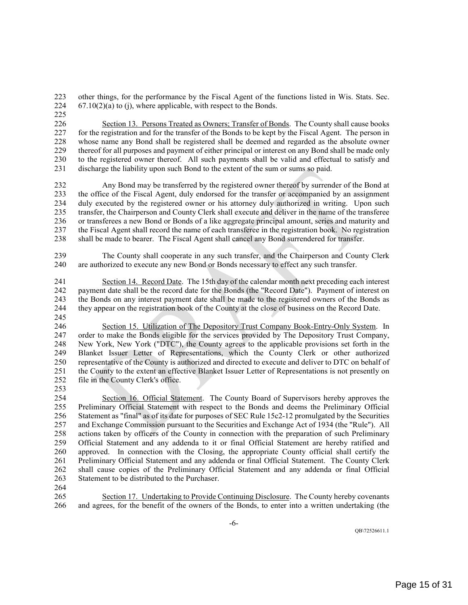other things, for the performance by the Fiscal Agent of the functions listed in Wis. Stats. Sec. 224  $67.10(2)(a)$  to (j), where applicable, with respect to the Bonds.

 Section 13. Persons Treated as Owners; Transfer of Bonds. The County shall cause books for the registration and for the transfer of the Bonds to be kept by the Fiscal Agent. The person in whose name any Bond shall be registered shall be deemed and regarded as the absolute owner thereof for all purposes and payment of either principal or interest on any Bond shall be made only 230 to the registered owner thereof. All such payments shall be valid and effectual to satisfy and discharge the liability upon such Bond to the extent of the sum or sums so paid. discharge the liability upon such Bond to the extent of the sum or sums so paid.

 Any Bond may be transferred by the registered owner thereof by surrender of the Bond at the office of the Fiscal Agent, duly endorsed for the transfer or accompanied by an assignment duly executed by the registered owner or his attorney duly authorized in writing. Upon such transfer, the Chairperson and County Clerk shall execute and deliver in the name of the transferee or transferees a new Bond or Bonds of a like aggregate principal amount, series and maturity and the Fiscal Agent shall record the name of each transferee in the registration book. No registration shall be made to bearer. The Fiscal Agent shall cancel any Bond surrendered for transfer.

 The County shall cooperate in any such transfer, and the Chairperson and County Clerk are authorized to execute any new Bond or Bonds necessary to effect any such transfer.

 Section 14. Record Date. The 15th day of the calendar month next preceding each interest payment date shall be the record date for the Bonds (the "Record Date"). Payment of interest on the Bonds on any interest payment date shall be made to the registered owners of the Bonds as they appear on the registration book of the County at the close of business on the Record Date. 

 Section 15. Utilization of The Depository Trust Company Book-Entry-Only System. In order to make the Bonds eligible for the services provided by The Depository Trust Company, New York, New York ("DTC"), the County agrees to the applicable provisions set forth in the Blanket Issuer Letter of Representations, which the County Clerk or other authorized representative of the County is authorized and directed to execute and deliver to DTC on behalf of the County to the extent an effective Blanket Issuer Letter of Representations is not presently on file in the County Clerk's office.

 Section 16. Official Statement. The County Board of Supervisors hereby approves the Preliminary Official Statement with respect to the Bonds and deems the Preliminary Official Statement as "final" as of its date for purposes of SEC Rule 15c2-12 promulgated by the Securities and Exchange Commission pursuant to the Securities and Exchange Act of 1934 (the "Rule"). All actions taken by officers of the County in connection with the preparation of such Preliminary Official Statement and any addenda to it or final Official Statement are hereby ratified and approved. In connection with the Closing, the appropriate County official shall certify the Preliminary Official Statement and any addenda or final Official Statement. The County Clerk shall cause copies of the Preliminary Official Statement and any addenda or final Official Statement to be distributed to the Purchaser.

 Section 17. Undertaking to Provide Continuing Disclosure. The County hereby covenants and agrees, for the benefit of the owners of the Bonds, to enter into a written undertaking (the

-6-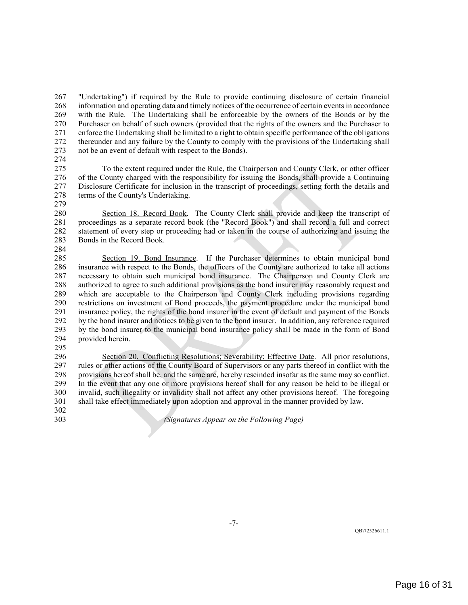"Undertaking") if required by the Rule to provide continuing disclosure of certain financial information and operating data and timely notices of the occurrence of certain events in accordance with the Rule. The Undertaking shall be enforceable by the owners of the Bonds or by the Purchaser on behalf of such owners (provided that the rights of the owners and the Purchaser to enforce the Undertaking shall be limited to a right to obtain specific performance of the obligations thereunder and any failure by the County to comply with the provisions of the Undertaking shall not be an event of default with respect to the Bonds).

274<br>275

 To the extent required under the Rule, the Chairperson and County Clerk, or other officer of the County charged with the responsibility for issuing the Bonds, shall provide a Continuing Disclosure Certificate for inclusion in the transcript of proceedings, setting forth the details and 278 terms of the County's Undertaking.

 Section 18. Record Book. The County Clerk shall provide and keep the transcript of proceedings as a separate record book (the "Record Book") and shall record a full and correct statement of every step or proceeding had or taken in the course of authorizing and issuing the Bonds in the Record Book.

 Section 19. Bond Insurance. If the Purchaser determines to obtain municipal bond insurance with respect to the Bonds, the officers of the County are authorized to take all actions necessary to obtain such municipal bond insurance. The Chairperson and County Clerk are authorized to agree to such additional provisions as the bond insurer may reasonably request and which are acceptable to the Chairperson and County Clerk including provisions regarding restrictions on investment of Bond proceeds, the payment procedure under the municipal bond insurance policy, the rights of the bond insurer in the event of default and payment of the Bonds by the bond insurer and notices to be given to the bond insurer. In addition, any reference required by the bond insurer to the municipal bond insurance policy shall be made in the form of Bond provided herein.

 Section 20. Conflicting Resolutions; Severability; Effective Date. All prior resolutions, rules or other actions of the County Board of Supervisors or any parts thereof in conflict with the provisions hereof shall be, and the same are, hereby rescinded insofar as the same may so conflict. In the event that any one or more provisions hereof shall for any reason be held to be illegal or invalid, such illegality or invalidity shall not affect any other provisions hereof. The foregoing shall take effect immediately upon adoption and approval in the manner provided by law.

*(Signatures Appear on the Following Page)*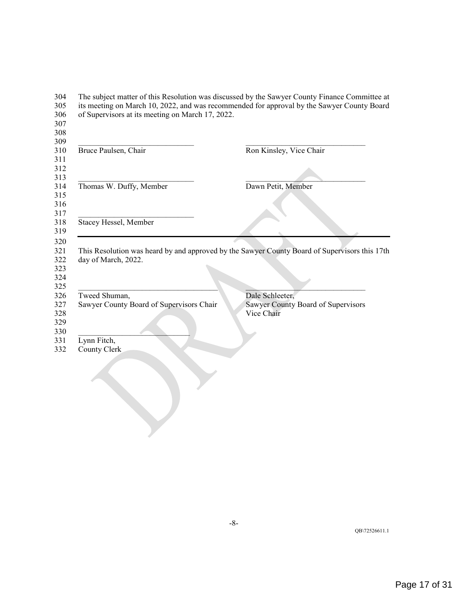| Bruce Paulsen, Chair                                                                                                                                                                                             | Ron Kinsley, Vice Chair                                             |
|------------------------------------------------------------------------------------------------------------------------------------------------------------------------------------------------------------------|---------------------------------------------------------------------|
| Thomas W. Duffy, Member                                                                                                                                                                                          | Dawn Petit, Member                                                  |
| Stacey Hessel, Member                                                                                                                                                                                            |                                                                     |
|                                                                                                                                                                                                                  |                                                                     |
|                                                                                                                                                                                                                  | Dale Schleeter,<br>Sawyer County Board of Supervisors<br>Vice Chair |
|                                                                                                                                                                                                                  |                                                                     |
| This Resolution was heard by and approved by the Sawyer County Board of Supervisors this 17th<br>day of March, 2022.<br>Tweed Shuman,<br>Sawyer County Board of Supervisors Chair<br>Lynn Fitch,<br>County Clerk |                                                                     |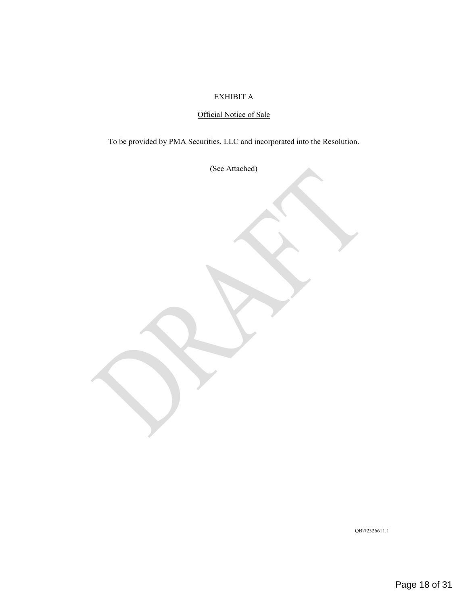### EXHIBIT A

# Official Notice of Sale

To be provided by PMA Securities, LLC and incorporated into the Resolution.

(See Attached)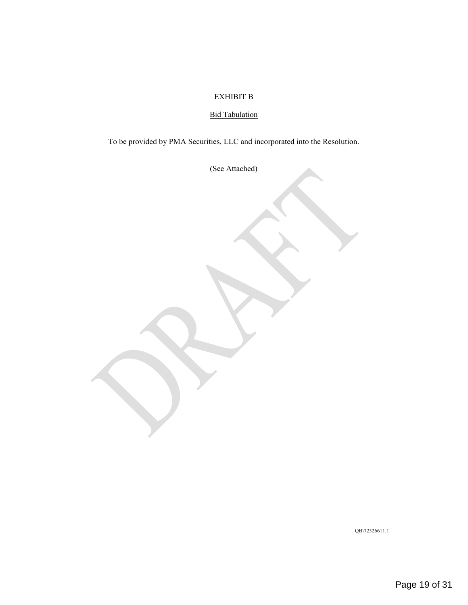### EXHIBIT B

# Bid Tabulation

To be provided by PMA Securities, LLC and incorporated into the Resolution.

(See Attached)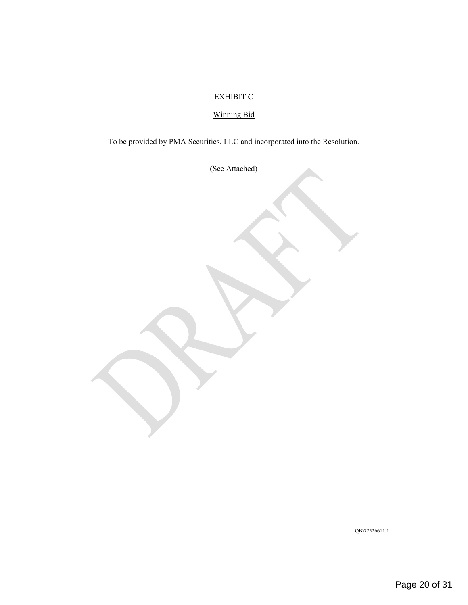# EXHIBIT C

# Winning Bid

To be provided by PMA Securities, LLC and incorporated into the Resolution.

(See Attached)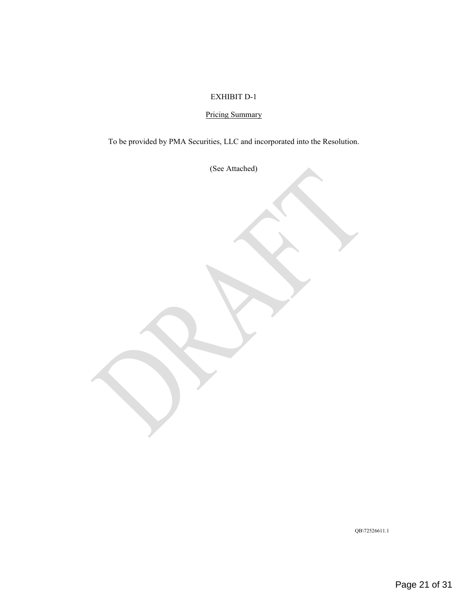### EXHIBIT D-1

# Pricing Summary

To be provided by PMA Securities, LLC and incorporated into the Resolution.

(See Attached)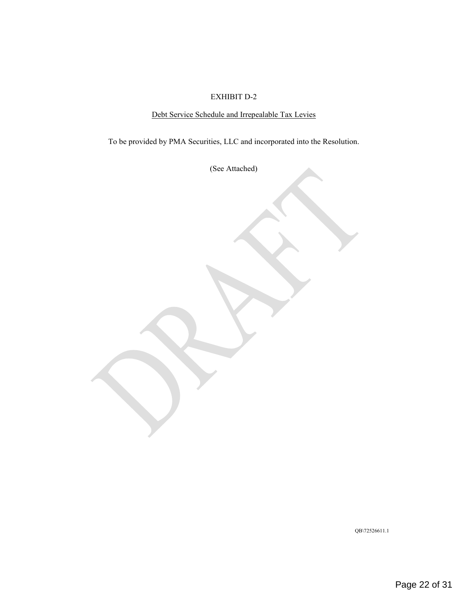### EXHIBIT D-2

# Debt Service Schedule and Irrepealable Tax Levies

To be provided by PMA Securities, LLC and incorporated into the Resolution.

(See Attached)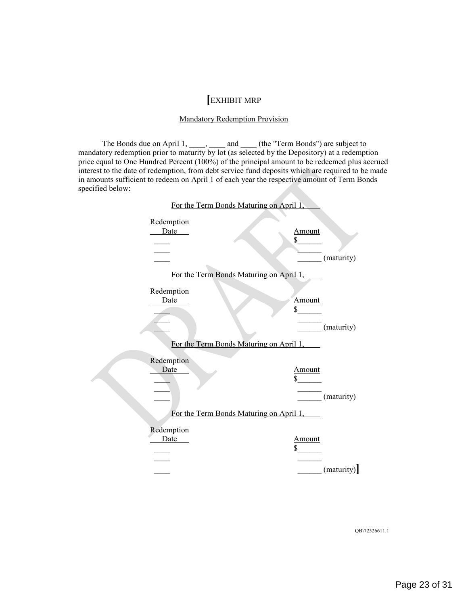# **[**EXHIBIT MRP

#### Mandatory Redemption Provision

The Bonds due on April 1,  $\qquad \qquad$ , and  $\qquad$  (the "Term Bonds") are subject to mandatory redemption prior to maturity by lot (as selected by the Depository) at a redemption price equal to One Hundred Percent (100%) of the principal amount to be redeemed plus accrued interest to the date of redemption, from debt service fund deposits which are required to be made in amounts sufficient to redeem on April 1 of each year the respective amount of Term Bonds specified below:

|                    | For the Term Bonds Maturing on April 1,                         |
|--------------------|-----------------------------------------------------------------|
| Redemption<br>Date | Amount<br>\$<br>(maturity)                                      |
| Redemption<br>Date | For the Term Bonds Maturing on April 1,<br><u>Amount</u><br>\$  |
|                    | (maturity)<br>For the Term Bonds Maturing on April 1,           |
| Redemption<br>Date | Amount<br>(maturity)<br>For the Term Bonds Maturing on April 1, |
| Redemption<br>Date | <b>Amount</b><br>\$<br>(maturity)                               |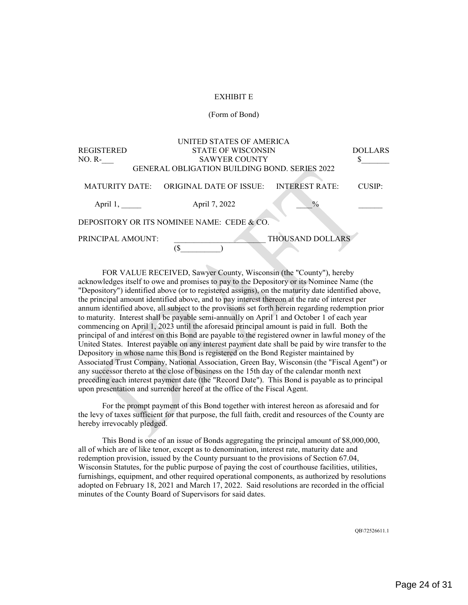#### EXHIBIT E

#### (Form of Bond)

|                                       | UNITED STATES OF AMERICA                             |  |                       |                |  |
|---------------------------------------|------------------------------------------------------|--|-----------------------|----------------|--|
| REGISTERED                            | <b>STATE OF WISCONSIN</b>                            |  |                       | <b>DOLLARS</b> |  |
| NO. R-                                | <b>SAWYER COUNTY</b>                                 |  |                       |                |  |
|                                       | <b>GENERAL OBLIGATION BUILDING BOND. SERIES 2022</b> |  |                       |                |  |
| <b>MATURITY DATE:</b>                 | ORIGINAL DATE OF ISSUE:                              |  | <b>INTEREST RATE:</b> | CUSIP:         |  |
| April 1,                              | April 7, 2022                                        |  | $\frac{0}{0}$         |                |  |
|                                       | DEPOSITORY OR ITS NOMINEE NAME: CEDE & CO.           |  |                       |                |  |
| THOUSAND DOLLARS<br>PRINCIPAL AMOUNT: |                                                      |  |                       |                |  |
|                                       |                                                      |  |                       |                |  |

FOR VALUE RECEIVED, Sawyer County, Wisconsin (the "County"), hereby acknowledges itself to owe and promises to pay to the Depository or its Nominee Name (the "Depository") identified above (or to registered assigns), on the maturity date identified above, the principal amount identified above, and to pay interest thereon at the rate of interest per annum identified above, all subject to the provisions set forth herein regarding redemption prior to maturity. Interest shall be payable semi-annually on April 1 and October 1 of each year commencing on April 1, 2023 until the aforesaid principal amount is paid in full. Both the principal of and interest on this Bond are payable to the registered owner in lawful money of the United States. Interest payable on any interest payment date shall be paid by wire transfer to the Depository in whose name this Bond is registered on the Bond Register maintained by Associated Trust Company, National Association, Green Bay, Wisconsin (the "Fiscal Agent") or any successor thereto at the close of business on the 15th day of the calendar month next preceding each interest payment date (the "Record Date"). This Bond is payable as to principal upon presentation and surrender hereof at the office of the Fiscal Agent.

For the prompt payment of this Bond together with interest hereon as aforesaid and for the levy of taxes sufficient for that purpose, the full faith, credit and resources of the County are hereby irrevocably pledged.

This Bond is one of an issue of Bonds aggregating the principal amount of \$8,000,000, all of which are of like tenor, except as to denomination, interest rate, maturity date and redemption provision, issued by the County pursuant to the provisions of Section 67.04, Wisconsin Statutes, for the public purpose of paying the cost of courthouse facilities, utilities, furnishings, equipment, and other required operational components, as authorized by resolutions adopted on February 18, 2021 and March 17, 2022. Said resolutions are recorded in the official minutes of the County Board of Supervisors for said dates.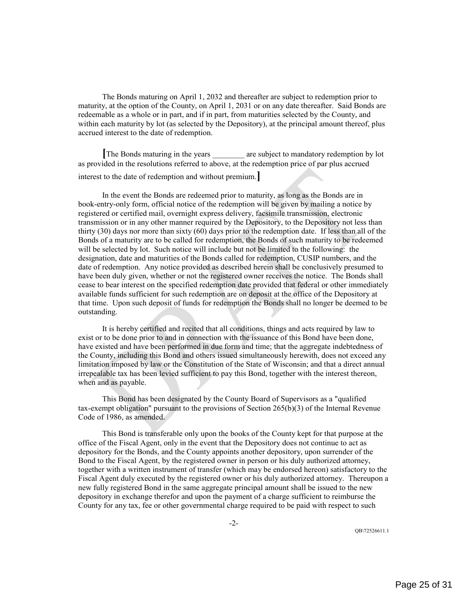The Bonds maturing on April 1, 2032 and thereafter are subject to redemption prior to maturity, at the option of the County, on April 1, 2031 or on any date thereafter. Said Bonds are redeemable as a whole or in part, and if in part, from maturities selected by the County, and within each maturity by lot (as selected by the Depository), at the principal amount thereof, plus accrued interest to the date of redemption.

**The Bonds maturing in the years are subject to mandatory redemption by lot** as provided in the resolutions referred to above, at the redemption price of par plus accrued interest to the date of redemption and without premium.**]**

In the event the Bonds are redeemed prior to maturity, as long as the Bonds are in book-entry-only form, official notice of the redemption will be given by mailing a notice by registered or certified mail, overnight express delivery, facsimile transmission, electronic transmission or in any other manner required by the Depository, to the Depository not less than thirty (30) days nor more than sixty (60) days prior to the redemption date. If less than all of the Bonds of a maturity are to be called for redemption, the Bonds of such maturity to be redeemed will be selected by lot. Such notice will include but not be limited to the following: the designation, date and maturities of the Bonds called for redemption, CUSIP numbers, and the date of redemption. Any notice provided as described herein shall be conclusively presumed to have been duly given, whether or not the registered owner receives the notice. The Bonds shall cease to bear interest on the specified redemption date provided that federal or other immediately available funds sufficient for such redemption are on deposit at the office of the Depository at that time. Upon such deposit of funds for redemption the Bonds shall no longer be deemed to be outstanding.

It is hereby certified and recited that all conditions, things and acts required by law to exist or to be done prior to and in connection with the issuance of this Bond have been done, have existed and have been performed in due form and time; that the aggregate indebtedness of the County, including this Bond and others issued simultaneously herewith, does not exceed any limitation imposed by law or the Constitution of the State of Wisconsin; and that a direct annual irrepealable tax has been levied sufficient to pay this Bond, together with the interest thereon, when and as payable.

This Bond has been designated by the County Board of Supervisors as a "qualified tax-exempt obligation" pursuant to the provisions of Section 265(b)(3) of the Internal Revenue Code of 1986, as amended.

This Bond is transferable only upon the books of the County kept for that purpose at the office of the Fiscal Agent, only in the event that the Depository does not continue to act as depository for the Bonds, and the County appoints another depository, upon surrender of the Bond to the Fiscal Agent, by the registered owner in person or his duly authorized attorney, together with a written instrument of transfer (which may be endorsed hereon) satisfactory to the Fiscal Agent duly executed by the registered owner or his duly authorized attorney. Thereupon a new fully registered Bond in the same aggregate principal amount shall be issued to the new depository in exchange therefor and upon the payment of a charge sufficient to reimburse the County for any tax, fee or other governmental charge required to be paid with respect to such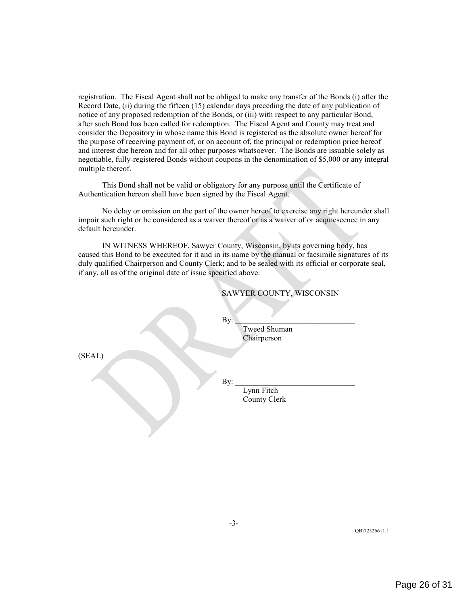registration. The Fiscal Agent shall not be obliged to make any transfer of the Bonds (i) after the Record Date, (ii) during the fifteen (15) calendar days preceding the date of any publication of notice of any proposed redemption of the Bonds, or (iii) with respect to any particular Bond, after such Bond has been called for redemption. The Fiscal Agent and County may treat and consider the Depository in whose name this Bond is registered as the absolute owner hereof for the purpose of receiving payment of, or on account of, the principal or redemption price hereof and interest due hereon and for all other purposes whatsoever. The Bonds are issuable solely as negotiable, fully-registered Bonds without coupons in the denomination of \$5,000 or any integral multiple thereof.

This Bond shall not be valid or obligatory for any purpose until the Certificate of Authentication hereon shall have been signed by the Fiscal Agent.

No delay or omission on the part of the owner hereof to exercise any right hereunder shall impair such right or be considered as a waiver thereof or as a waiver of or acquiescence in any default hereunder.

IN WITNESS WHEREOF, Sawyer County, Wisconsin, by its governing body, has caused this Bond to be executed for it and in its name by the manual or facsimile signatures of its duly qualified Chairperson and County Clerk; and to be sealed with its official or corporate seal, if any, all as of the original date of issue specified above.

| SAWYER COUNTY, WISCONSIN |
|--------------------------|
|                          |
|                          |
|                          |
|                          |
|                          |
|                          |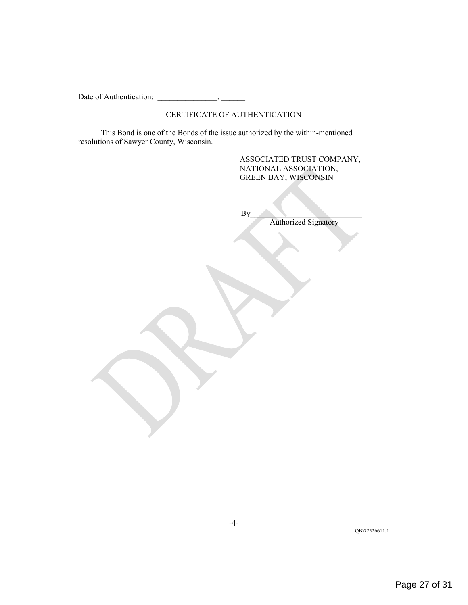Date of Authentication:  $\qquad \qquad$ 

#### CERTIFICATE OF AUTHENTICATION

This Bond is one of the Bonds of the issue authorized by the within-mentioned resolutions of Sawyer County, Wisconsin.

#### ASSOCIATED TRUST COMPANY, NATIONAL ASSOCIATION, GREEN BAY, WISCONSIN

 $\mathbf{B} \mathbf{y}$ 

Authorized Signatory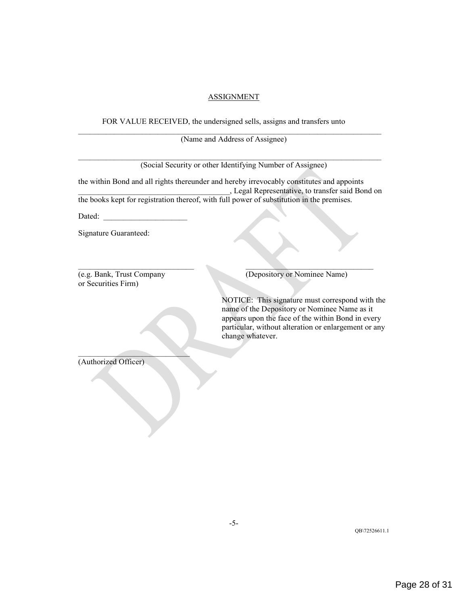#### ASSIGNMENT

FOR VALUE RECEIVED, the undersigned sells, assigns and transfers unto

 $\mathcal{L}_\mathcal{L} = \{ \mathcal{L}_\mathcal{L} = \{ \mathcal{L}_\mathcal{L} = \{ \mathcal{L}_\mathcal{L} = \{ \mathcal{L}_\mathcal{L} = \{ \mathcal{L}_\mathcal{L} = \{ \mathcal{L}_\mathcal{L} = \{ \mathcal{L}_\mathcal{L} = \{ \mathcal{L}_\mathcal{L} = \{ \mathcal{L}_\mathcal{L} = \{ \mathcal{L}_\mathcal{L} = \{ \mathcal{L}_\mathcal{L} = \{ \mathcal{L}_\mathcal{L} = \{ \mathcal{L}_\mathcal{L} = \{ \mathcal{L}_\mathcal{$ (Name and Address of Assignee)

|                                                                                           | (Social Security or other Identifying Number of Assignee)                                                                                                                                                                        |
|-------------------------------------------------------------------------------------------|----------------------------------------------------------------------------------------------------------------------------------------------------------------------------------------------------------------------------------|
|                                                                                           | the within Bond and all rights thereunder and hereby irrevocably constitutes and appoints<br>, Legal Representative, to transfer said Bond on                                                                                    |
| the books kept for registration thereof, with full power of substitution in the premises. |                                                                                                                                                                                                                                  |
| Dated:                                                                                    |                                                                                                                                                                                                                                  |
| Signature Guaranteed:                                                                     |                                                                                                                                                                                                                                  |
| (e.g. Bank, Trust Company<br>or Securities Firm)                                          | (Depository or Nominee Name)                                                                                                                                                                                                     |
|                                                                                           | NOTICE: This signature must correspond with the<br>name of the Depository or Nominee Name as it<br>appears upon the face of the within Bond in every<br>particular, without alteration or enlargement or any<br>change whatever. |
| (Authorized Officer)                                                                      |                                                                                                                                                                                                                                  |
|                                                                                           |                                                                                                                                                                                                                                  |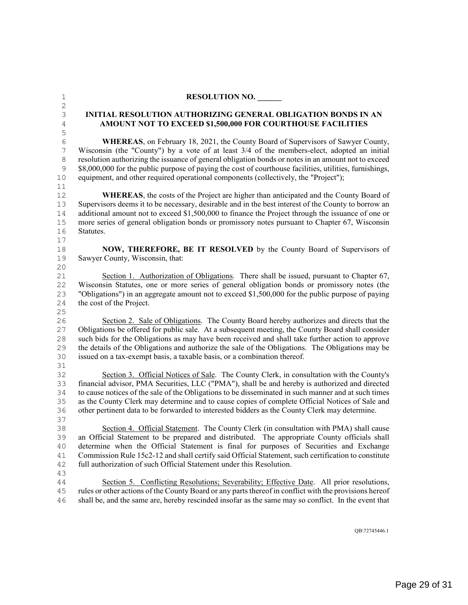<span id="page-28-0"></span>

| $\mathbf 1$    | <b>RESOLUTION NO.</b>                                                                                   |
|----------------|---------------------------------------------------------------------------------------------------------|
| $\sqrt{2}$     |                                                                                                         |
| $\mathsf S$    | <b>INITIAL RESOLUTION AUTHORIZING GENERAL OBLIGATION BONDS IN AN</b>                                    |
| $\sqrt{4}$     | AMOUNT NOT TO EXCEED \$1,500,000 FOR COURTHOUSE FACILITIES                                              |
| 5              |                                                                                                         |
| $\sqrt{6}$     | <b>WHEREAS</b> , on February 18, 2021, the County Board of Supervisors of Sawyer County,                |
| $\overline{7}$ | Wisconsin (the "County") by a vote of at least 3/4 of the members-elect, adopted an initial             |
| $\,8\,$        | resolution authorizing the issuance of general obligation bonds or notes in an amount not to exceed     |
| $\mathsf 9$    | \$8,000,000 for the public purpose of paying the cost of courthouse facilities, utilities, furnishings, |
| 10             | equipment, and other required operational components (collectively, the "Project");                     |
| 11             |                                                                                                         |
| 12             | <b>WHEREAS</b> , the costs of the Project are higher than anticipated and the County Board of           |
| 13             | Supervisors deems it to be necessary, desirable and in the best interest of the County to borrow an     |
| 14             | additional amount not to exceed \$1,500,000 to finance the Project through the issuance of one or       |
| $15\,$         | more series of general obligation bonds or promissory notes pursuant to Chapter 67, Wisconsin           |
| 16             | Statutes.                                                                                               |
| 17             |                                                                                                         |
| 18             | NOW, THEREFORE, BE IT RESOLVED by the County Board of Supervisors of                                    |
| 19             | Sawyer County, Wisconsin, that:                                                                         |
| 20             |                                                                                                         |
| 21             | Section 1. Authorization of Obligations. There shall be issued, pursuant to Chapter 67,                 |
| 22             | Wisconsin Statutes, one or more series of general obligation bonds or promissory notes (the             |
| 23             | "Obligations") in an aggregate amount not to exceed \$1,500,000 for the public purpose of paying        |
| 24             | the cost of the Project.                                                                                |
| 25             |                                                                                                         |
| 26             | Section 2. Sale of Obligations. The County Board hereby authorizes and directs that the                 |
| 27             | Obligations be offered for public sale. At a subsequent meeting, the County Board shall consider        |
| 28             | such bids for the Obligations as may have been received and shall take further action to approve        |
| 29             | the details of the Obligations and authorize the sale of the Obligations. The Obligations may be        |
| 30             | issued on a tax-exempt basis, a taxable basis, or a combination thereof.                                |
| 31             |                                                                                                         |
| 32             | Section 3. Official Notices of Sale. The County Clerk, in consultation with the County's                |
| 33             | financial advisor, PMA Securities, LLC ("PMA"), shall be and hereby is authorized and directed          |
| 34             | to cause notices of the sale of the Obligations to be disseminated in such manner and at such times     |
| 35             | as the County Clerk may determine and to cause copies of complete Official Notices of Sale and          |
| 36             | other pertinent data to be forwarded to interested bidders as the County Clerk may determine.           |
| 37             |                                                                                                         |
| 38             | Section 4. Official Statement. The County Clerk (in consultation with PMA) shall cause                  |
| 39             | an Official Statement to be prepared and distributed. The appropriate County officials shall            |
| 40             | determine when the Official Statement is final for purposes of Securities and Exchange                  |
| 41             | Commission Rule 15c2-12 and shall certify said Official Statement, such certification to constitute     |
| 42             | full authorization of such Official Statement under this Resolution.                                    |
| 43             |                                                                                                         |
| 44             | Section 5. Conflicting Resolutions; Severability; Effective Date. All prior resolutions,                |
| 45             | rules or other actions of the County Board or any parts thereof in conflict with the provisions hereof  |
| 46             | shall be, and the same are, hereby rescinded insofar as the same may so conflict. In the event that     |

QB\72745446.1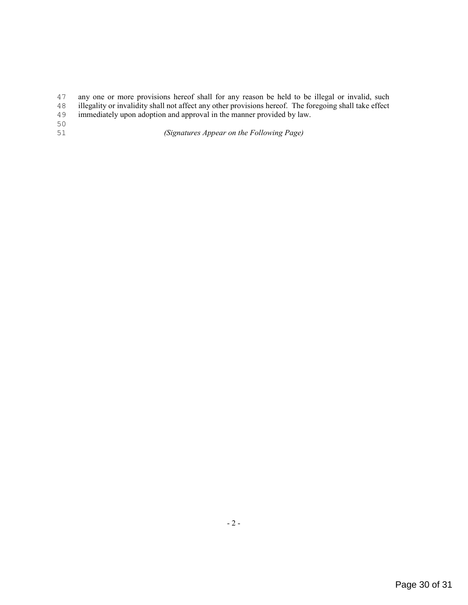47 any one or more provisions hereof shall for any reason be held to be illegal or invalid, such illegality or invalidity shall not affect any other provisions hereof. The foregoing shall take effect

- 48 illegality or invalidity shall not affect any other provisions hereof. The foregoing shall take effect immediately upon adoption and approval in the manner provided by law.
- immediately upon adoption and approval in the manner provided by law.
- 50<br>51

51 *(Signatures Appear on the Following Page)*